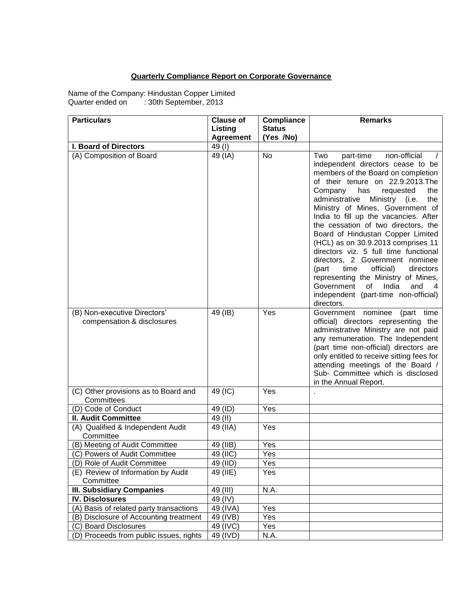## **Quarterly Compliance Report on Corporate Governance**

Name of the Company: Hindustan Copper Limited Quarter ended on : 30th September, 2013

| <b>Particulars</b>                                         | <b>Clause of</b> | Compliance    | <b>Remarks</b>                                                                                                                                                                                                                                                                                                                                                                                                                                                                                                                                                                                                                                                                               |
|------------------------------------------------------------|------------------|---------------|----------------------------------------------------------------------------------------------------------------------------------------------------------------------------------------------------------------------------------------------------------------------------------------------------------------------------------------------------------------------------------------------------------------------------------------------------------------------------------------------------------------------------------------------------------------------------------------------------------------------------------------------------------------------------------------------|
|                                                            | Listing          | <b>Status</b> |                                                                                                                                                                                                                                                                                                                                                                                                                                                                                                                                                                                                                                                                                              |
|                                                            | <b>Agreement</b> | (Yes /No)     |                                                                                                                                                                                                                                                                                                                                                                                                                                                                                                                                                                                                                                                                                              |
| I. Board of Directors                                      | 49(I)            |               |                                                                                                                                                                                                                                                                                                                                                                                                                                                                                                                                                                                                                                                                                              |
| (A) Composition of Board                                   | 49 (IA)          | No            | non-official<br>part-time<br>Two<br>independent directors cease to be<br>members of the Board on completion<br>of their tenure on 22.9.2013.The<br>Company<br>the<br>has<br>requested<br>administrative<br>Ministry (i.e.<br>the<br>Ministry of Mines, Government of<br>India to fill up the vacancies. After<br>the cessation of two directors, the<br>Board of Hindustan Copper Limited<br>(HCL) as on 30.9.2013 comprises 11<br>directors viz. 5 full time functional<br>directors, 2 Government nominee<br>official)<br>(part<br>time<br>directors<br>representing the Ministry of Mines,<br>Government<br>of<br>India<br>and<br>4<br>independent (part-time non-official)<br>directors. |
| (B) Non-executive Directors'<br>compensation & disclosures | 49 (IB)          | Yes           | Government nominee<br>(part time<br>official) directors representing the<br>administrative Ministry are not paid<br>any remuneration. The Independent<br>(part time non-official) directors are<br>only entitled to receive sitting fees for<br>attending meetings of the Board /<br>Sub- Committee which is disclosed<br>in the Annual Report.                                                                                                                                                                                                                                                                                                                                              |
| (C) Other provisions as to Board and<br>Committees         | 49 (IC)          | Yes           |                                                                                                                                                                                                                                                                                                                                                                                                                                                                                                                                                                                                                                                                                              |
| (D) Code of Conduct                                        | 49 (ID)          | Yes           |                                                                                                                                                                                                                                                                                                                                                                                                                                                                                                                                                                                                                                                                                              |
| <b>II. Audit Committee</b>                                 | 49 (II)          |               |                                                                                                                                                                                                                                                                                                                                                                                                                                                                                                                                                                                                                                                                                              |
| (A) Qualified & Independent Audit<br>Committee             | 49 (IIA)         | Yes           |                                                                                                                                                                                                                                                                                                                                                                                                                                                                                                                                                                                                                                                                                              |
| (B) Meeting of Audit Committee                             | 49 (IIB)         | Yes           |                                                                                                                                                                                                                                                                                                                                                                                                                                                                                                                                                                                                                                                                                              |
| (C) Powers of Audit Committee                              | 49 (IIC)         | Yes           |                                                                                                                                                                                                                                                                                                                                                                                                                                                                                                                                                                                                                                                                                              |
| (D) Role of Audit Committee                                | 49 (IID)         | Yes           |                                                                                                                                                                                                                                                                                                                                                                                                                                                                                                                                                                                                                                                                                              |
| (E) Review of Information by Audit<br>Committee            | 49 $(IIE)$       | Yes           |                                                                                                                                                                                                                                                                                                                                                                                                                                                                                                                                                                                                                                                                                              |
| <b>III. Subsidiary Companies</b>                           | 49 (III)         | N.A.          |                                                                                                                                                                                                                                                                                                                                                                                                                                                                                                                                                                                                                                                                                              |
| <b>IV. Disclosures</b>                                     | 49 (IV)          |               |                                                                                                                                                                                                                                                                                                                                                                                                                                                                                                                                                                                                                                                                                              |
| (A) Basis of related party transactions                    | 49 (IVA)         | Yes           |                                                                                                                                                                                                                                                                                                                                                                                                                                                                                                                                                                                                                                                                                              |
| (B) Disclosure of Accounting treatment                     | 49 (IVB)         | Yes           |                                                                                                                                                                                                                                                                                                                                                                                                                                                                                                                                                                                                                                                                                              |
| (C) Board Disclosures                                      | 49 (IVC)         | Yes           |                                                                                                                                                                                                                                                                                                                                                                                                                                                                                                                                                                                                                                                                                              |
| (D) Proceeds from public issues, rights                    | 49 (IVD)         | N.A.          |                                                                                                                                                                                                                                                                                                                                                                                                                                                                                                                                                                                                                                                                                              |